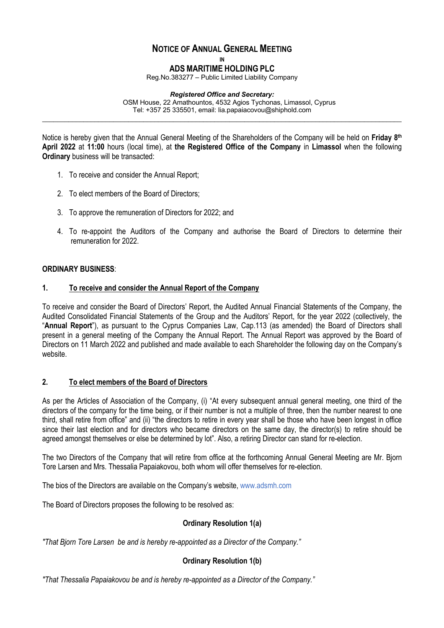# **NOTICE OF ANNUAL GENERAL MEETING**

**IN**

**ADS MARITIME HOLDING PLC**

Reg.No.383277 – Public Limited Liability Company

#### *Registered Office and Secretary:*

**\_\_\_\_\_\_\_\_\_\_\_\_\_\_\_\_\_\_\_\_\_\_\_\_\_\_\_\_\_\_\_\_\_\_\_\_\_\_\_\_\_\_\_\_\_\_\_\_\_\_\_\_\_\_\_\_\_\_\_\_\_\_\_\_\_\_\_\_\_\_\_\_\_\_\_\_\_\_\_\_\_\_\_\_\_\_\_\_\_\_\_\_\_\_\_\_**

OSM House, 22 Amathountos, 4532 Agios Tychonas, Limassol, Cyprus Tel: +357 25 335501, email: lia.papaiacovou@shiphold.com

Notice is hereby given that the Annual General Meeting of the Shareholders of the Company will be held on **Friday 8th April 2022** at **11:00** hours (local time), at **the Registered Office of the Company** in **Limassol** when the following **Ordinary** business will be transacted:

- 1. To receive and consider the Annual Report;
- 2. To elect members of the Board of Directors;
- 3. To approve the remuneration of Directors for 2022; and
- 4. To re-appoint the Auditors of the Company and authorise the Board of Directors to determine their remuneration for 2022.

#### **ORDINARY BUSINESS**:

#### **1. To receive and consider the Annual Report of the Company**

To receive and consider the Board of Directors' Report, the Audited Annual Financial Statements of the Company, the Audited Consolidated Financial Statements of the Group and the Auditors' Report, for the year 2022 (collectively, the "**Annual Report**"), as pursuant to the Cyprus Companies Law, Cap.113 (as amended) the Board of Directors shall present in a general meeting of the Company the Annual Report. The Annual Report was approved by the Board of Directors on 11 March 2022 and published and made available to each Shareholder the following day on the Company's website.

#### **2. To elect members of the Board of Directors**

As per the Articles of Association of the Company, (i) "At every subsequent annual general meeting, one third of the directors of the company for the time being, or if their number is not a multiple of three, then the number nearest to one third, shall retire from office" and (ii) "the directors to retire in every year shall be those who have been longest in office since their last election and for directors who became directors on the same day, the director(s) to retire should be agreed amongst themselves or else be determined by lot". Also, a retiring Director can stand for re-election.

The two Directors of the Company that will retire from office at the forthcoming Annual General Meeting are Mr. Bjorn Tore Larsen and Mrs. Thessalia Papaiakovou, both whom will offer themselves for re-election.

The bios of the Directors are available on the Company's website, www.adsmh.com

The Board of Directors proposes the following to be resolved as:

# **Ordinary Resolution 1(a)**

*"That Bjorn Tore Larsen be and is hereby re-appointed as a Director of the Company."*

# **Ordinary Resolution 1(b)**

*"That Thessalia Papaiakovou be and is hereby re-appointed as a Director of the Company."*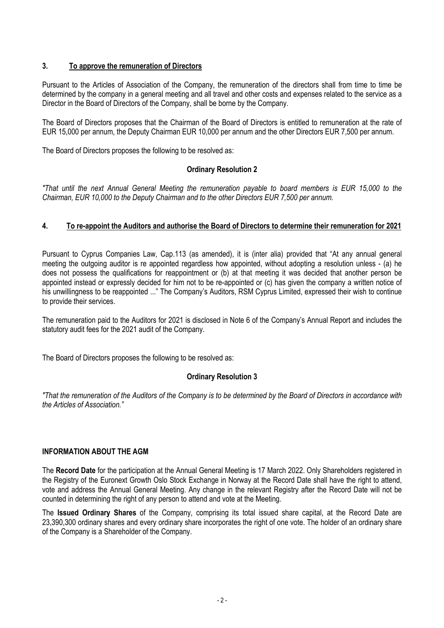# **3. To approve the remuneration of Directors**

Pursuant to the Articles of Association of the Company, the remuneration of the directors shall from time to time be determined by the company in a general meeting and all travel and other costs and expenses related to the service as a Director in the Board of Directors of the Company, shall be borne by the Company.

The Board of Directors proposes that the Chairman of the Board of Directors is entitled to remuneration at the rate of EUR 15,000 per annum, the Deputy Chairman EUR 10,000 per annum and the other Directors EUR 7,500 per annum.

The Board of Directors proposes the following to be resolved as:

# **Ordinary Resolution 2**

*"That until the next Annual General Meeting the remuneration payable to board members is EUR 15,000 to the Chairman, EUR 10,000 to the Deputy Chairman and to the other Directors EUR 7,500 per annum.* 

# **4. To re-appoint the Auditors and authorise the Board of Directors to determine their remuneration for 2021**

Pursuant to Cyprus Companies Law, Cap.113 (as amended), it is (inter alia) provided that "At any annual general meeting the outgoing auditor is re appointed regardless how appointed, without adopting a resolution unless - (a) he does not possess the qualifications for reappointment or (b) at that meeting it was decided that another person be appointed instead or expressly decided for him not to be re-appointed or (c) has given the company a written notice of his unwillingness to be reappointed ..." The Company's Auditors, RSM Cyprus Limited, expressed their wish to continue to provide their services.

The remuneration paid to the Auditors for 2021 is disclosed in Note 6 of the Company's Annual Report and includes the statutory audit fees for the 2021 audit of the Company.

The Board of Directors proposes the following to be resolved as:

# **Ordinary Resolution 3**

*"That the remuneration of the Auditors of the Company is to be determined by the Board of Directors in accordance with the Articles of Association."*

#### **INFORMATION ABOUT THE AGM**

The **Record Date** for the participation at the Annual General Meeting is 17 March 2022. Only Shareholders registered in the Registry of the Euronext Growth Oslo Stock Exchange in Norway at the Record Date shall have the right to attend, vote and address the Annual General Meeting. Any change in the relevant Registry after the Record Date will not be counted in determining the right of any person to attend and vote at the Meeting.

The **Issued Ordinary Shares** of the Company, comprising its total issued share capital, at the Record Date are 23,390,300 ordinary shares and every ordinary share incorporates the right of one vote. The holder of an ordinary share of the Company is a Shareholder of the Company.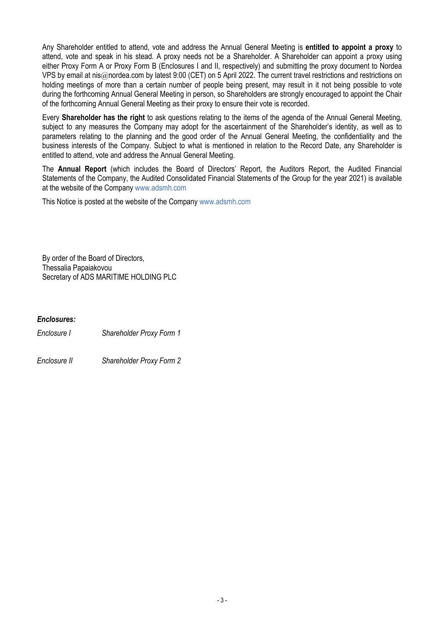Any Shareholder entitled to attend, vote and address the Annual General Meeting is **entitled to appoint a proxy** to attend, vote and speak in his stead. A proxy needs not be a Shareholder. A Shareholder can appoint a proxy using either Proxy Form A or Proxy Form B (Enclosures I and II, respectively) and submitting the proxy document to Nordea VPS by email at nis@nordea.com by latest 9:00 (CET) on 5 April 2022. The current travel restrictions and restrictions on holding meetings of more than a certain number of people being present, may result in it not being possible to vote during the forthcoming Annual General Meeting in person, so Shareholders are strongly encouraged to appoint the Chair of the forthcoming Annual General Meeting as their proxy to ensure their vote is recorded.

Every **Shareholder has the right** to ask questions relating to the items of the agenda of the Annual General Meeting, subject to any measures the Company may adopt for the ascertainment of the Shareholder's identity, as well as to parameters relating to the planning and the good order of the Annual General Meeting, the confidentiality and the business interests of the Company. Subject to what is mentioned in relation to the Record Date, any Shareholder is entitled to attend, vote and address the Annual General Meeting.

The **Annual Report** (which includes the Board of Directors' Report, the Auditors Report, the Audited Financial Statements of the Company, the Audited Consolidated Financial Statements of the Group for the year 2021) is available at the website of the Company www.adsmh.com

This Notice is posted at the website of the Company www.adsmh.com

By order of the Board of Directors, Thessalia Papaiakovou Secretary of ADS MARITIME HOLDING PLC

# *Enclosures:*

*Enclosure I Shareholder Proxy Form 1*

*Enclosure II Shareholder Proxy Form 2*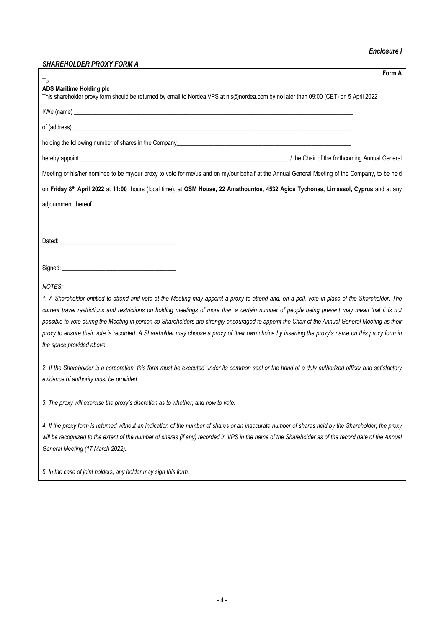#### *Enclosure I*

# *SHAREHOLDER PROXY FORM A*

| <u>א וואט ו ואטא ואטוסטונצאומנט</u><br>Form A                                                                                                                                                                                                                                                                                                   |
|-------------------------------------------------------------------------------------------------------------------------------------------------------------------------------------------------------------------------------------------------------------------------------------------------------------------------------------------------|
| To<br><b>ADS Maritime Holding plc</b><br>This shareholder proxy form should be returned by email to Nordea VPS at nis@nordea.com by no later than 09:00 (CET) on 5 April 2022                                                                                                                                                                   |
| I/We (name) <b>the contract of the contract of the contract of the contract of the contract of the contract of the contract of the contract of the contract of the contract of the contract of the contract of the contract of t</b>                                                                                                            |
|                                                                                                                                                                                                                                                                                                                                                 |
|                                                                                                                                                                                                                                                                                                                                                 |
|                                                                                                                                                                                                                                                                                                                                                 |
| Meeting or his/her nominee to be my/our proxy to vote for me/us and on my/our behalf at the Annual General Meeting of the Company, to be held                                                                                                                                                                                                   |
| on Friday 8th April 2022 at 11:00 hours (local time), at OSM House, 22 Amathountos, 4532 Agios Tychonas, Limassol, Cyprus and at any                                                                                                                                                                                                            |
| adjournment thereof.                                                                                                                                                                                                                                                                                                                            |
|                                                                                                                                                                                                                                                                                                                                                 |
|                                                                                                                                                                                                                                                                                                                                                 |
|                                                                                                                                                                                                                                                                                                                                                 |
|                                                                                                                                                                                                                                                                                                                                                 |
| <b>NOTES:</b><br>1. A Shareholder entitled to attend and vote at the Meeting may appoint a proxy to attend and, on a poll, vote in place of the Shareholder. The<br>current travel restrictions and restrictions on holding meetings of more than a certain number of people being present may mean that it is not                              |
| possible to vote during the Meeting in person so Shareholders are strongly encouraged to appoint the Chair of the Annual General Meeting as their<br>proxy to ensure their vote is recorded. A Shareholder may choose a proxy of their own choice by inserting the proxy's name on this proxy form in<br>the space provided above.              |
| 2. If the Shareholder is a corporation, this form must be executed under its common seal or the hand of a duly authorized officer and satisfactory<br>evidence of authority must be provided.                                                                                                                                                   |
| 3. The proxy will exercise the proxy's discretion as to whether, and how to vote.                                                                                                                                                                                                                                                               |
| 4. If the proxy form is returned without an indication of the number of shares or an inaccurate number of shares held by the Shareholder, the proxy<br>will be recognized to the extent of the number of shares (if any) recorded in VPS in the name of the Shareholder as of the record date of the Annual<br>General Meeting (17 March 2022). |
| 5. In the case of joint holders, any holder may sign this form.                                                                                                                                                                                                                                                                                 |
|                                                                                                                                                                                                                                                                                                                                                 |